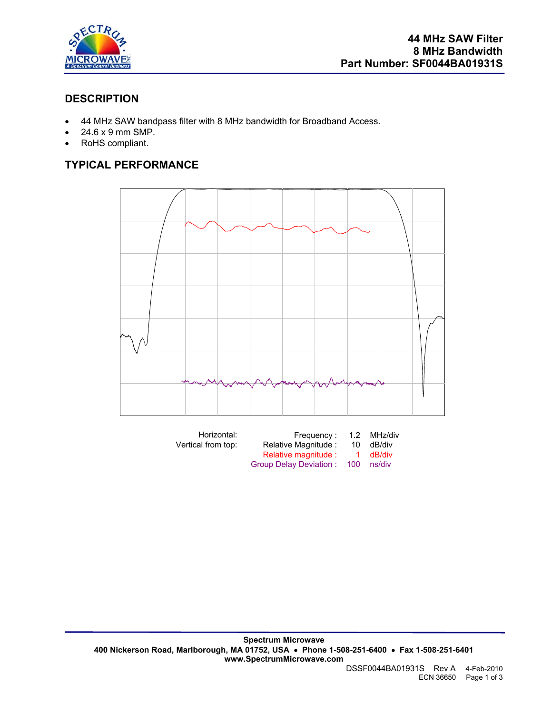

## **DESCRIPTION**

- 44 MHz SAW bandpass filter with 8 MHz bandwidth for Broadband Access.
- 24.6 x 9 mm SMP.
- RoHS compliant.

# **TYPICAL PERFORMANCE**



| Horizontal:<br>Vertical from top: | Frequency:<br>Relative Magnitude:              | 10. | 1.2 MHz/div<br>dB/div |
|-----------------------------------|------------------------------------------------|-----|-----------------------|
|                                   | Relative magnitude :<br>Group Delay Deviation: | 100 | 1 dB/div<br>ns/div    |
|                                   |                                                |     |                       |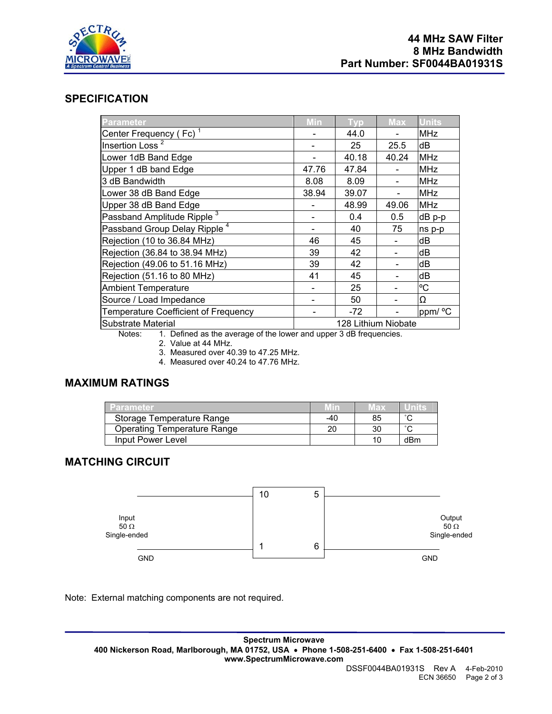

#### **SPECIFICATION**

| Parameter                                | Min                 | <b>Typ</b> | <b>Max</b> | <b>Units</b> |
|------------------------------------------|---------------------|------------|------------|--------------|
| Center Frequency (Fc) <sup>1</sup>       |                     | 44.0       |            | <b>MHz</b>   |
| Insertion Loss <sup>2</sup>              |                     | 25         | 25.5       | dB           |
| Lower 1dB Band Edge                      |                     | 40.18      | 40.24      | <b>MHz</b>   |
| Upper 1 dB band Edge                     | 47.76               | 47.84      |            | <b>MHz</b>   |
| 3 dB Bandwidth                           | 8.08                | 8.09       |            | <b>MHz</b>   |
| Lower 38 dB Band Edge                    | 38.94               | 39.07      |            | <b>MHz</b>   |
| Upper 38 dB Band Edge                    |                     | 48.99      | 49.06      | <b>MHz</b>   |
| Passband Amplitude Ripple <sup>3</sup>   |                     | 0.4        | 0.5        | dB p-p       |
| Passband Group Delay Ripple <sup>4</sup> |                     | 40         | 75         | ns p-p       |
| Rejection (10 to 36.84 MHz)              | 46                  | 45         |            | dB           |
| Rejection (36.84 to 38.94 MHz)           | 39                  | 42         |            | dB           |
| Rejection (49.06 to 51.16 MHz)           | 39                  | 42         |            | dB           |
| Rejection (51.16 to 80 MHz)              | 41                  | 45         |            | dB           |
| <b>Ambient Temperature</b>               |                     | 25         |            | °C           |
| Source / Load Impedance                  |                     | 50         |            | Ω            |
| Temperature Coefficient of Frequency     |                     | $-72$      |            | ppm/ °C      |
| Substrate Material                       | 128 Lithium Niobate |            |            |              |

Notes: 1. Defined as the average of the lower and upper 3 dB frequencies.

2. Value at 44 MHz.

3. Measured over 40.39 to 47.25 MHz.

4. Measured over 40.24 to 47.76 MHz.

## **MAXIMUM RATINGS**

| <b>Parameter</b>                   |     | Max |        |
|------------------------------------|-----|-----|--------|
| Storage Temperature Range          | -40 | 85  | $\sim$ |
| <b>Operating Temperature Range</b> | 20  |     | $\sim$ |
| Input Power Level                  |     |     | dBm    |

## **MATCHING CIRCUIT**



Note: External matching components are not required.